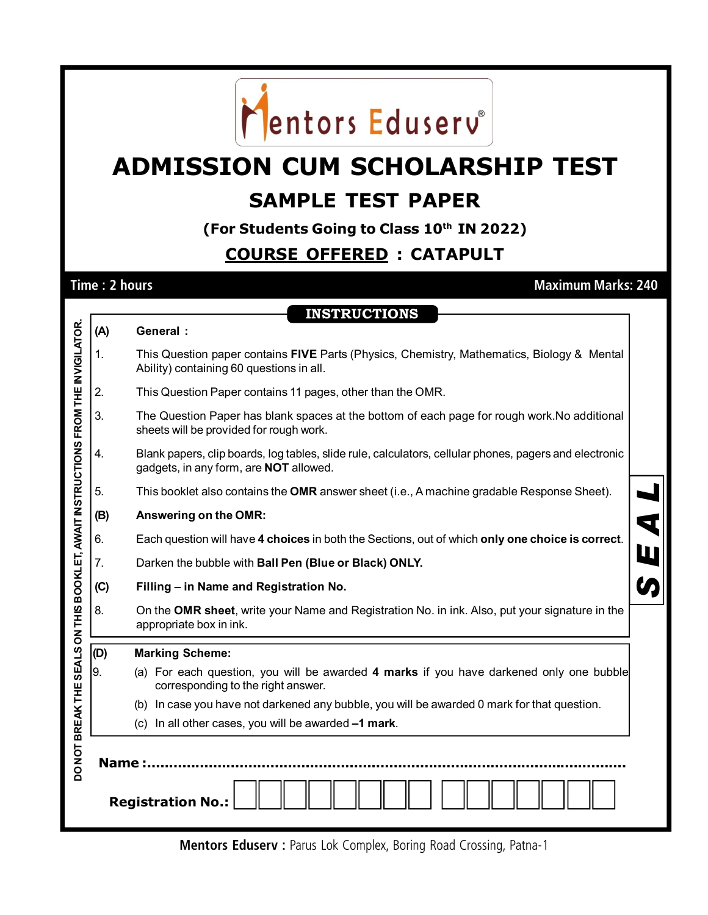

## **ADMISSION CUM SCHOLARSHIP TEST SAMPLE TEST PAPER**

**(For Students Going to Class 10th IN 2022)**

## **COURSE OFFERED : CATAPULT**

**Time : 2 hours Maximum Marks: 240**

|                                                                                  |                          | <b>INSTRUCTIONS</b>                                                                                                                                     |  |  |  |  |  |
|----------------------------------------------------------------------------------|--------------------------|---------------------------------------------------------------------------------------------------------------------------------------------------------|--|--|--|--|--|
|                                                                                  | (A)                      | General :                                                                                                                                               |  |  |  |  |  |
|                                                                                  | 1.                       | This Question paper contains FIVE Parts (Physics, Chemistry, Mathematics, Biology & Mental<br>Ability) containing 60 questions in all.                  |  |  |  |  |  |
|                                                                                  | 2.                       | This Question Paper contains 11 pages, other than the OMR.                                                                                              |  |  |  |  |  |
|                                                                                  | 3.                       | The Question Paper has blank spaces at the bottom of each page for rough work. No additional<br>sheets will be provided for rough work.                 |  |  |  |  |  |
|                                                                                  | 4.                       | Blank papers, clip boards, log tables, slide rule, calculators, cellular phones, pagers and electronic<br>gadgets, in any form, are <b>NOT</b> allowed. |  |  |  |  |  |
|                                                                                  | 5.                       | This booklet also contains the OMR answer sheet (i.e., A machine gradable Response Sheet).                                                              |  |  |  |  |  |
|                                                                                  | (B)                      | $\overline{\textbf{q}}$<br>Answering on the OMR:                                                                                                        |  |  |  |  |  |
|                                                                                  | 6.                       | Each question will have 4 choices in both the Sections, out of which only one choice is correct.                                                        |  |  |  |  |  |
|                                                                                  | 7.                       | Darken the bubble with Ball Pen (Blue or Black) ONLY.                                                                                                   |  |  |  |  |  |
|                                                                                  | (C)                      | Filling - in Name and Registration No.                                                                                                                  |  |  |  |  |  |
|                                                                                  | 8.                       | On the OMR sheet, write your Name and Registration No. in ink. Also, put your signature in the<br>appropriate box in ink.                               |  |  |  |  |  |
|                                                                                  | (D)                      | <b>Marking Scheme:</b>                                                                                                                                  |  |  |  |  |  |
|                                                                                  | 9.                       | (a) For each question, you will be awarded 4 marks if you have darkened only one bubble<br>corresponding to the right answer.                           |  |  |  |  |  |
|                                                                                  |                          | (b) In case you have not darkened any bubble, you will be awarded 0 mark for that question.                                                             |  |  |  |  |  |
|                                                                                  |                          | (c) In all other cases, you will be awarded -1 mark.                                                                                                    |  |  |  |  |  |
| DO NOT BREAK THE SEALS ON THIS BOOKLET, AWAIT INSTRUCTIONS FROM THE INVIGILATOR. | Name:                    |                                                                                                                                                         |  |  |  |  |  |
|                                                                                  | <b>Registration No.:</b> |                                                                                                                                                         |  |  |  |  |  |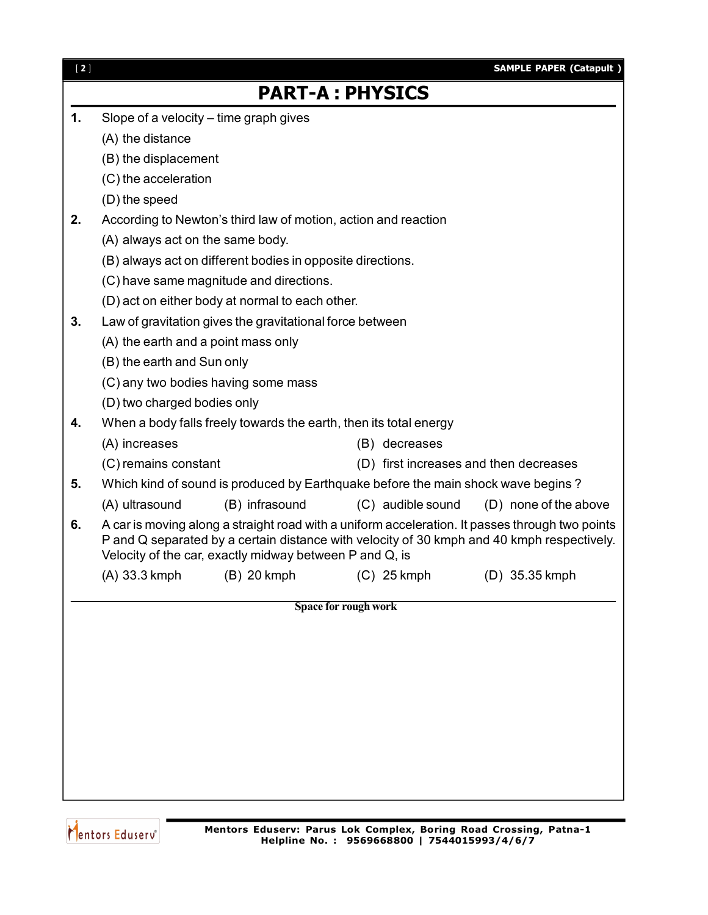| $[2]$ |                                                                   |                                                                |                                                                                  | <b>SAMPLE PAPER (Catapult)</b>                                                                                                                                                                |  |
|-------|-------------------------------------------------------------------|----------------------------------------------------------------|----------------------------------------------------------------------------------|-----------------------------------------------------------------------------------------------------------------------------------------------------------------------------------------------|--|
|       |                                                                   |                                                                | <b>PART-A: PHYSICS</b>                                                           |                                                                                                                                                                                               |  |
| 1.    |                                                                   | Slope of a velocity – time graph gives                         |                                                                                  |                                                                                                                                                                                               |  |
|       | (A) the distance                                                  |                                                                |                                                                                  |                                                                                                                                                                                               |  |
|       | (B) the displacement                                              |                                                                |                                                                                  |                                                                                                                                                                                               |  |
|       | (C) the acceleration                                              |                                                                |                                                                                  |                                                                                                                                                                                               |  |
|       | (D) the speed                                                     |                                                                |                                                                                  |                                                                                                                                                                                               |  |
| 2.    |                                                                   | According to Newton's third law of motion, action and reaction |                                                                                  |                                                                                                                                                                                               |  |
|       | (A) always act on the same body.                                  |                                                                |                                                                                  |                                                                                                                                                                                               |  |
|       |                                                                   | (B) always act on different bodies in opposite directions.     |                                                                                  |                                                                                                                                                                                               |  |
|       |                                                                   | (C) have same magnitude and directions.                        |                                                                                  |                                                                                                                                                                                               |  |
|       |                                                                   | (D) act on either body at normal to each other.                |                                                                                  |                                                                                                                                                                                               |  |
| 3.    |                                                                   | Law of gravitation gives the gravitational force between       |                                                                                  |                                                                                                                                                                                               |  |
|       | (A) the earth and a point mass only                               |                                                                |                                                                                  |                                                                                                                                                                                               |  |
|       | (B) the earth and Sun only                                        |                                                                |                                                                                  |                                                                                                                                                                                               |  |
|       |                                                                   | (C) any two bodies having some mass                            |                                                                                  |                                                                                                                                                                                               |  |
|       | (D) two charged bodies only                                       |                                                                |                                                                                  |                                                                                                                                                                                               |  |
| 4.    | When a body falls freely towards the earth, then its total energy |                                                                |                                                                                  |                                                                                                                                                                                               |  |
|       | (A) increases                                                     |                                                                | (B) decreases                                                                    |                                                                                                                                                                                               |  |
|       | (C) remains constant                                              |                                                                |                                                                                  | (D) first increases and then decreases                                                                                                                                                        |  |
| 5.    |                                                                   |                                                                | Which kind of sound is produced by Earthquake before the main shock wave begins? |                                                                                                                                                                                               |  |
|       | (A) ultrasound                                                    | (B) infrasound                                                 | (C) audible sound                                                                | (D) none of the above                                                                                                                                                                         |  |
| 6.    |                                                                   | Velocity of the car, exactly midway between P and Q, is        |                                                                                  | A car is moving along a straight road with a uniform acceleration. It passes through two points<br>P and Q separated by a certain distance with velocity of 30 kmph and 40 kmph respectively. |  |
|       |                                                                   |                                                                | (A) 33.3 kmph (B) 20 kmph (C) 25 kmph                                            | $(D)$ 35.35 kmph                                                                                                                                                                              |  |
|       |                                                                   |                                                                | Space for rough work                                                             |                                                                                                                                                                                               |  |
|       |                                                                   |                                                                |                                                                                  |                                                                                                                                                                                               |  |
|       |                                                                   |                                                                |                                                                                  |                                                                                                                                                                                               |  |
|       |                                                                   |                                                                |                                                                                  |                                                                                                                                                                                               |  |
|       |                                                                   |                                                                |                                                                                  |                                                                                                                                                                                               |  |
|       |                                                                   |                                                                |                                                                                  |                                                                                                                                                                                               |  |
|       |                                                                   |                                                                |                                                                                  |                                                                                                                                                                                               |  |
|       |                                                                   |                                                                |                                                                                  |                                                                                                                                                                                               |  |
|       |                                                                   |                                                                |                                                                                  |                                                                                                                                                                                               |  |
|       |                                                                   |                                                                |                                                                                  |                                                                                                                                                                                               |  |
|       |                                                                   |                                                                |                                                                                  |                                                                                                                                                                                               |  |

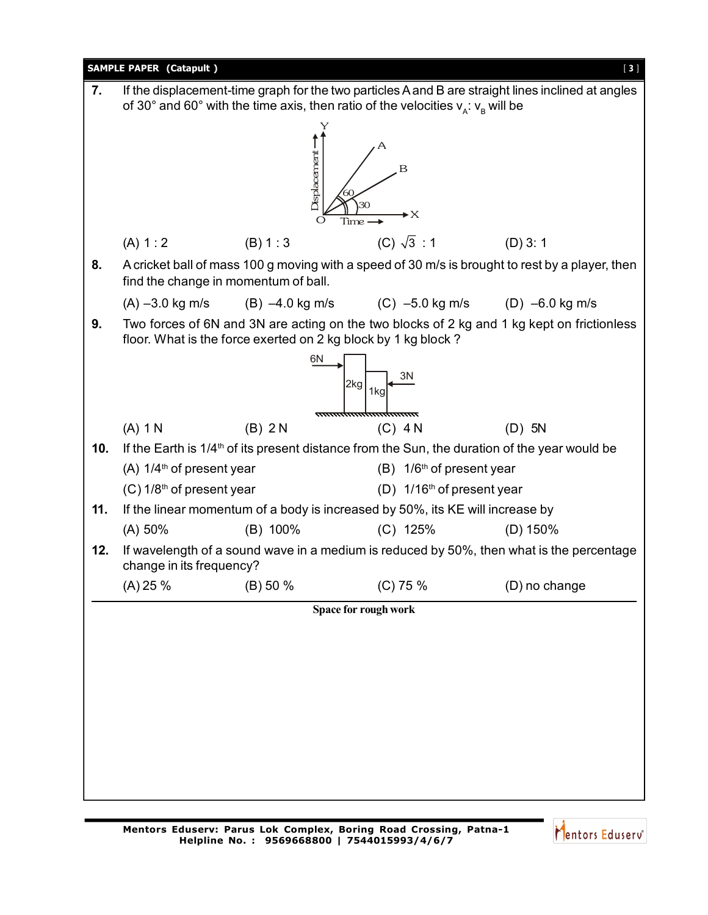

Mentors Eduserv<sup>®</sup>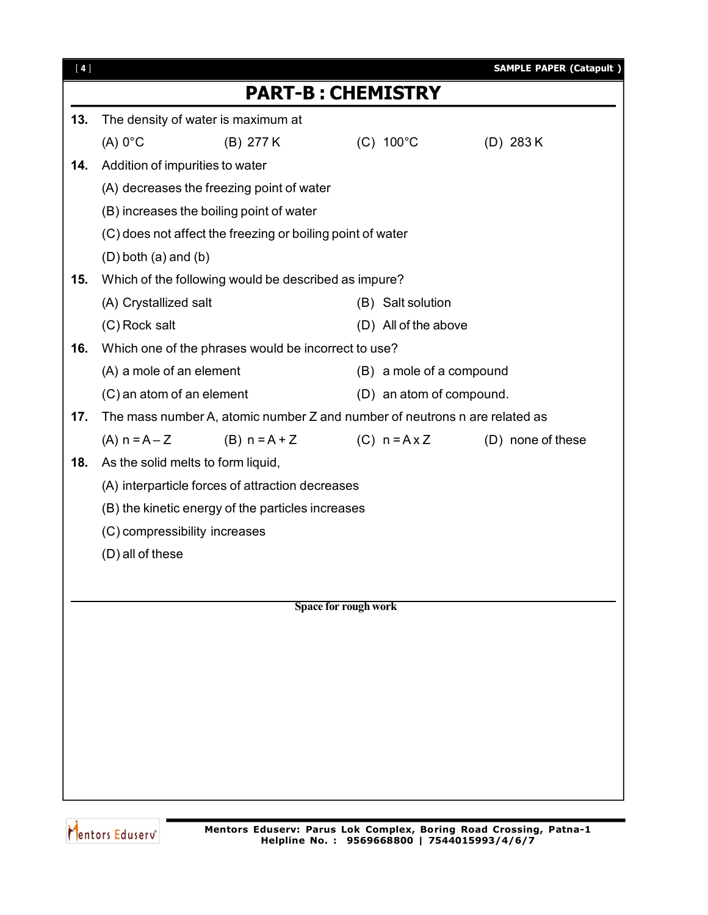| [4] |                                                       |                                                                            |                      |                          | <b>SAMPLE PAPER (Catapult)</b> |
|-----|-------------------------------------------------------|----------------------------------------------------------------------------|----------------------|--------------------------|--------------------------------|
|     |                                                       | <b>PART-B: CHEMISTRY</b>                                                   |                      |                          |                                |
| 13. | The density of water is maximum at                    |                                                                            |                      |                          |                                |
|     | $(A) 0$ °C                                            | (B) 277 K                                                                  |                      | $(C) 100^{\circ}C$       | (D) $283 K$                    |
| 14. | Addition of impurities to water                       |                                                                            |                      |                          |                                |
|     |                                                       | (A) decreases the freezing point of water                                  |                      |                          |                                |
|     | (B) increases the boiling point of water              |                                                                            |                      |                          |                                |
|     |                                                       | (C) does not affect the freezing or boiling point of water                 |                      |                          |                                |
|     | $(D)$ both $(a)$ and $(b)$                            |                                                                            |                      |                          |                                |
| 15. |                                                       | Which of the following would be described as impure?                       |                      |                          |                                |
|     | (A) Crystallized salt                                 |                                                                            |                      | (B) Salt solution        |                                |
|     | (C) Rock salt                                         |                                                                            |                      | (D) All of the above     |                                |
| 16. |                                                       | Which one of the phrases would be incorrect to use?                        |                      |                          |                                |
|     | (A) a mole of an element                              |                                                                            |                      | (B) a mole of a compound |                                |
|     | (C) an atom of an element<br>(D) an atom of compound. |                                                                            |                      |                          |                                |
| 17. |                                                       | The mass number A, atomic number Z and number of neutrons n are related as |                      |                          |                                |
|     | $(A) n = A - Z$                                       | $(B) n = A + Z$                                                            |                      | $(C)$ n = A x Z          | (D) none of these              |
| 18. | As the solid melts to form liquid,                    |                                                                            |                      |                          |                                |
|     |                                                       | (A) interparticle forces of attraction decreases                           |                      |                          |                                |
|     |                                                       | (B) the kinetic energy of the particles increases                          |                      |                          |                                |
|     | (C) compressibility increases                         |                                                                            |                      |                          |                                |
|     | (D) all of these                                      |                                                                            |                      |                          |                                |
|     |                                                       |                                                                            |                      |                          |                                |
|     |                                                       |                                                                            | Space for rough work |                          |                                |
|     |                                                       |                                                                            |                      |                          |                                |
|     |                                                       |                                                                            |                      |                          |                                |
|     |                                                       |                                                                            |                      |                          |                                |
|     |                                                       |                                                                            |                      |                          |                                |
|     |                                                       |                                                                            |                      |                          |                                |
|     |                                                       |                                                                            |                      |                          |                                |
|     |                                                       |                                                                            |                      |                          |                                |
|     |                                                       |                                                                            |                      |                          |                                |
|     |                                                       |                                                                            |                      |                          |                                |

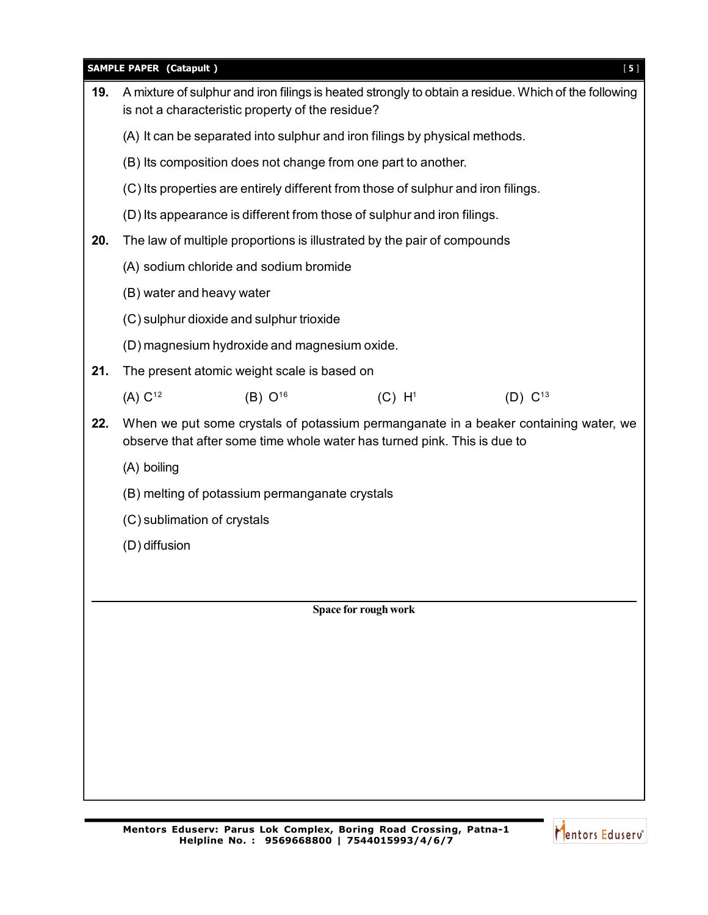|     | <b>SAMPLE PAPER (Catapult)</b><br>$[5]$                                                                                                                          |  |  |  |  |  |
|-----|------------------------------------------------------------------------------------------------------------------------------------------------------------------|--|--|--|--|--|
| 19. | A mixture of sulphur and iron filings is heated strongly to obtain a residue. Which of the following<br>is not a characteristic property of the residue?         |  |  |  |  |  |
|     | (A) It can be separated into sulphur and iron filings by physical methods.                                                                                       |  |  |  |  |  |
|     | (B) Its composition does not change from one part to another.                                                                                                    |  |  |  |  |  |
|     | (C) Its properties are entirely different from those of sulphur and iron filings.                                                                                |  |  |  |  |  |
|     | (D) Its appearance is different from those of sulphur and iron filings.                                                                                          |  |  |  |  |  |
| 20. | The law of multiple proportions is illustrated by the pair of compounds                                                                                          |  |  |  |  |  |
|     | (A) sodium chloride and sodium bromide                                                                                                                           |  |  |  |  |  |
|     | (B) water and heavy water                                                                                                                                        |  |  |  |  |  |
|     | (C) sulphur dioxide and sulphur trioxide                                                                                                                         |  |  |  |  |  |
|     | (D) magnesium hydroxide and magnesium oxide.                                                                                                                     |  |  |  |  |  |
| 21. | The present atomic weight scale is based on                                                                                                                      |  |  |  |  |  |
|     | (A) C <sup>12</sup><br>$(B) 0^{16}$<br>(C) H <sup>1</sup><br>(D) $C^{13}$                                                                                        |  |  |  |  |  |
| 22. | When we put some crystals of potassium permanganate in a beaker containing water, we<br>observe that after some time whole water has turned pink. This is due to |  |  |  |  |  |
|     | (A) boiling                                                                                                                                                      |  |  |  |  |  |
|     | (B) melting of potassium permanganate crystals                                                                                                                   |  |  |  |  |  |
|     | (C) sublimation of crystals                                                                                                                                      |  |  |  |  |  |
|     | (D) diffusion                                                                                                                                                    |  |  |  |  |  |
|     |                                                                                                                                                                  |  |  |  |  |  |
|     | Space for rough work                                                                                                                                             |  |  |  |  |  |
|     |                                                                                                                                                                  |  |  |  |  |  |
|     |                                                                                                                                                                  |  |  |  |  |  |
|     |                                                                                                                                                                  |  |  |  |  |  |
|     |                                                                                                                                                                  |  |  |  |  |  |
|     |                                                                                                                                                                  |  |  |  |  |  |
|     |                                                                                                                                                                  |  |  |  |  |  |
|     |                                                                                                                                                                  |  |  |  |  |  |
|     |                                                                                                                                                                  |  |  |  |  |  |

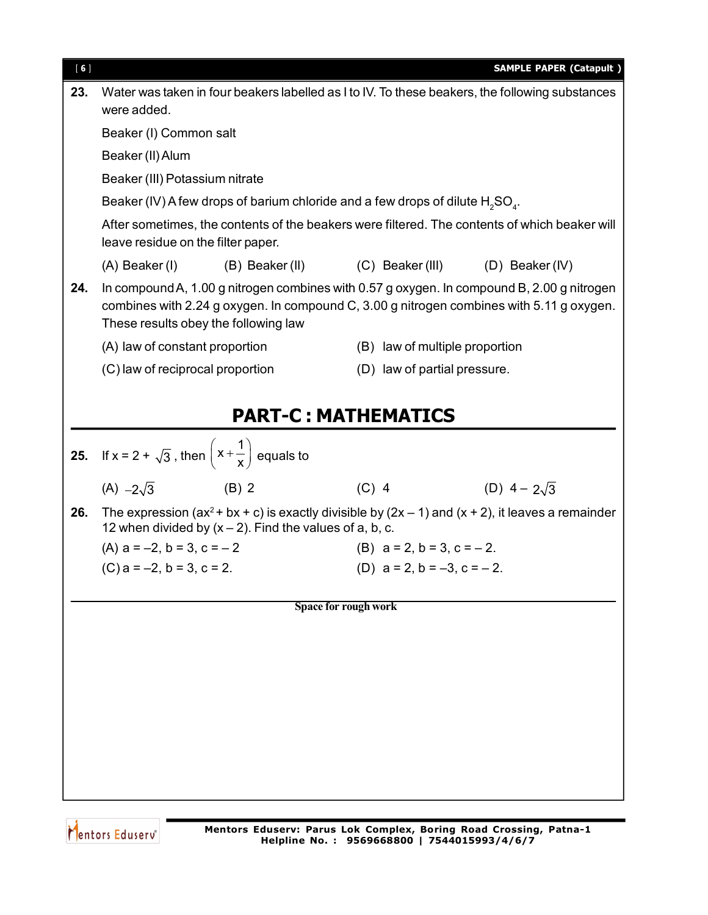| [6] |                                                                                                                                                                                                                                |                                     | <b>SAMPLE PAPER (Catapult)</b> |
|-----|--------------------------------------------------------------------------------------------------------------------------------------------------------------------------------------------------------------------------------|-------------------------------------|--------------------------------|
| 23. | Water was taken in four beakers labelled as I to IV. To these beakers, the following substances<br>were added.                                                                                                                 |                                     |                                |
|     | Beaker (I) Common salt                                                                                                                                                                                                         |                                     |                                |
|     | Beaker (II) Alum                                                                                                                                                                                                               |                                     |                                |
|     | Beaker (III) Potassium nitrate                                                                                                                                                                                                 |                                     |                                |
|     | Beaker (IV) A few drops of barium chloride and a few drops of dilute $H_2SO_4$ .                                                                                                                                               |                                     |                                |
|     | After sometimes, the contents of the beakers were filtered. The contents of which beaker will<br>leave residue on the filter paper.                                                                                            |                                     |                                |
|     | $(A)$ Beaker (I) (B) Beaker (II) (C) Beaker (III) (D) Beaker (IV)                                                                                                                                                              |                                     |                                |
| 24. | In compound A, 1.00 g nitrogen combines with 0.57 g oxygen. In compound B, 2.00 g nitrogen<br>combines with 2.24 g oxygen. In compound C, 3.00 g nitrogen combines with 5.11 g oxygen.<br>These results obey the following law |                                     |                                |
|     | (A) law of constant proportion                                                                                                                                                                                                 | (B) law of multiple proportion      |                                |
|     | (C) law of reciprocal proportion                                                                                                                                                                                               | (D) law of partial pressure.        |                                |
|     |                                                                                                                                                                                                                                |                                     |                                |
|     |                                                                                                                                                                                                                                | <b>PART-C: MATHEMATICS</b>          |                                |
|     | 25. If $x = 2 + \sqrt{3}$ , then $\left(x + \frac{1}{x}\right)$ equals to                                                                                                                                                      |                                     |                                |
|     | $(A) -2\sqrt{3}$<br>$(B)$ 2                                                                                                                                                                                                    | $(C)$ 4                             | (D) $4 - 2\sqrt{3}$            |
| 26. | The expression ( $ax^2 + bx + c$ ) is exactly divisible by ( $2x - 1$ ) and ( $x + 2$ ), it leaves a remainder<br>12 when divided by $(x - 2)$ . Find the values of a, b, c.                                                   |                                     |                                |
|     | (A) $a = -2$ , $b = 3$ , $c = -2$                                                                                                                                                                                              | (B) $a = 2$ , $b = 3$ , $c = -2$ .  |                                |
|     | $(C)$ a = -2, b = 3, c = 2.                                                                                                                                                                                                    | (D) $a = 2$ , $b = -3$ , $c = -2$ . |                                |
|     |                                                                                                                                                                                                                                | Space for rough work                |                                |
|     |                                                                                                                                                                                                                                |                                     |                                |
|     |                                                                                                                                                                                                                                |                                     |                                |
|     |                                                                                                                                                                                                                                |                                     |                                |
|     |                                                                                                                                                                                                                                |                                     |                                |
|     |                                                                                                                                                                                                                                |                                     |                                |
|     |                                                                                                                                                                                                                                |                                     |                                |
|     |                                                                                                                                                                                                                                |                                     |                                |
|     |                                                                                                                                                                                                                                |                                     |                                |

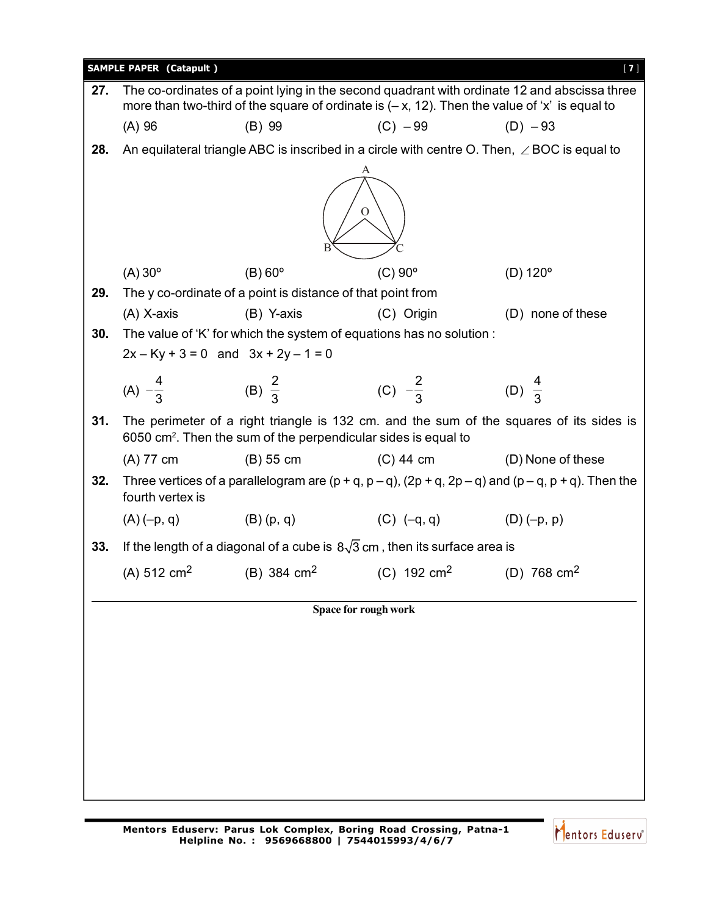|     | <b>SAMPLE PAPER (Catapult)</b>                                                                     |                                                                            |                                                                                   | $[7]$                                                                                                                                                                                           |  |  |  |
|-----|----------------------------------------------------------------------------------------------------|----------------------------------------------------------------------------|-----------------------------------------------------------------------------------|-------------------------------------------------------------------------------------------------------------------------------------------------------------------------------------------------|--|--|--|
| 27. |                                                                                                    |                                                                            |                                                                                   | The co-ordinates of a point lying in the second quadrant with ordinate 12 and abscissa three<br>more than two-third of the square of ordinate is $(-x, 12)$ . Then the value of 'x' is equal to |  |  |  |
|     | (A) 96                                                                                             | $(B)$ 99                                                                   | $(C) - 99$                                                                        | $(D) - 93$                                                                                                                                                                                      |  |  |  |
| 28. | An equilateral triangle ABC is inscribed in a circle with centre O. Then, $\angle$ BOC is equal to |                                                                            |                                                                                   |                                                                                                                                                                                                 |  |  |  |
|     | A<br>O                                                                                             |                                                                            |                                                                                   |                                                                                                                                                                                                 |  |  |  |
|     | $(A)$ 30 $^{\circ}$                                                                                | $(B)$ 60 $^{\circ}$                                                        | $(C)$ 90 $^{\circ}$                                                               | $(D) 120^{\circ}$                                                                                                                                                                               |  |  |  |
| 29. |                                                                                                    | The y co-ordinate of a point is distance of that point from                |                                                                                   |                                                                                                                                                                                                 |  |  |  |
|     | $(A)$ X-axis                                                                                       | $(B)$ Y-axis                                                               | (C) Origin                                                                        | (D) none of these                                                                                                                                                                               |  |  |  |
| 30. |                                                                                                    |                                                                            | The value of 'K' for which the system of equations has no solution :              |                                                                                                                                                                                                 |  |  |  |
|     |                                                                                                    | $2x - Ky + 3 = 0$ and $3x + 2y - 1 = 0$                                    |                                                                                   |                                                                                                                                                                                                 |  |  |  |
|     | (A) $-\frac{4}{3}$                                                                                 | (B) $\frac{2}{3}$                                                          | (C) $-\frac{2}{3}$                                                                | (D) $\frac{4}{3}$                                                                                                                                                                               |  |  |  |
| 31. |                                                                                                    | 6050 cm <sup>2</sup> . Then the sum of the perpendicular sides is equal to |                                                                                   | The perimeter of a right triangle is 132 cm. and the sum of the squares of its sides is                                                                                                         |  |  |  |
|     | (A) 77 cm                                                                                          | $(B)$ 55 cm                                                                | $(C)$ 44 cm                                                                       | (D) None of these                                                                                                                                                                               |  |  |  |
| 32. | fourth vertex is                                                                                   |                                                                            |                                                                                   | Three vertices of a parallelogram are $(p + q, p - q)$ , $(2p + q, 2p - q)$ and $(p - q, p + q)$ . Then the                                                                                     |  |  |  |
|     | $(A)(-p, q)$                                                                                       |                                                                            | (B) $(p, q)$ (C) $(-q, q)$ (D) $(-p, p)$                                          |                                                                                                                                                                                                 |  |  |  |
| 33. |                                                                                                    |                                                                            | If the length of a diagonal of a cube is $8\sqrt{3}$ cm, then its surface area is |                                                                                                                                                                                                 |  |  |  |
|     |                                                                                                    | (A) 512 cm <sup>2</sup> (B) 384 cm <sup>2</sup>                            | (C) $192 \text{ cm}^2$                                                            | (D) 768 $cm2$                                                                                                                                                                                   |  |  |  |
|     |                                                                                                    |                                                                            | Space for rough work                                                              |                                                                                                                                                                                                 |  |  |  |
|     |                                                                                                    |                                                                            |                                                                                   |                                                                                                                                                                                                 |  |  |  |
|     |                                                                                                    |                                                                            |                                                                                   |                                                                                                                                                                                                 |  |  |  |
|     |                                                                                                    |                                                                            |                                                                                   |                                                                                                                                                                                                 |  |  |  |
|     |                                                                                                    |                                                                            |                                                                                   |                                                                                                                                                                                                 |  |  |  |
|     |                                                                                                    |                                                                            |                                                                                   |                                                                                                                                                                                                 |  |  |  |
|     |                                                                                                    |                                                                            |                                                                                   |                                                                                                                                                                                                 |  |  |  |
|     |                                                                                                    |                                                                            |                                                                                   |                                                                                                                                                                                                 |  |  |  |
|     |                                                                                                    |                                                                            |                                                                                   |                                                                                                                                                                                                 |  |  |  |

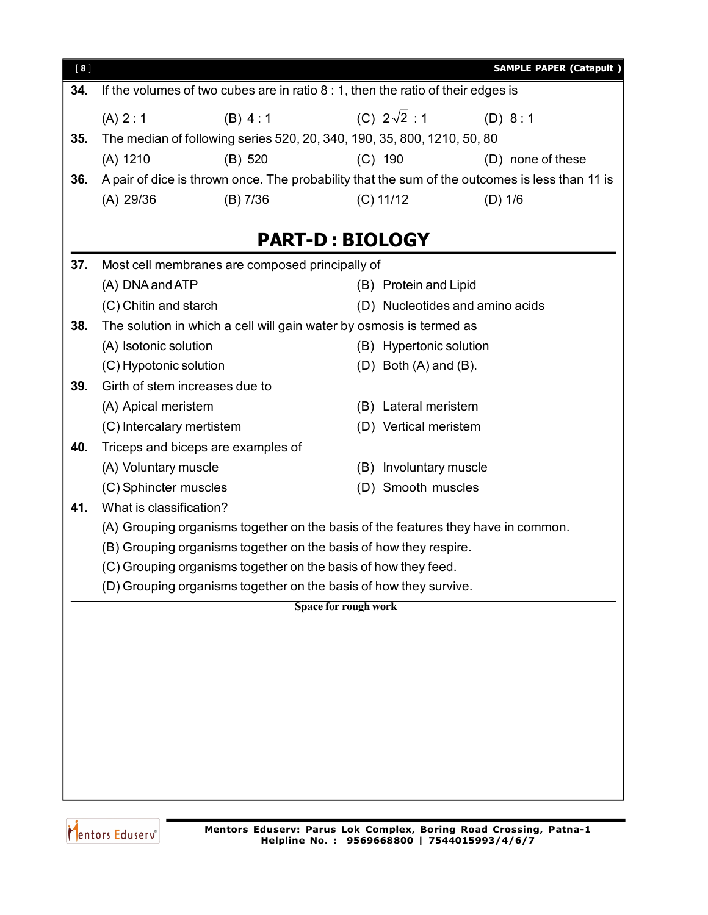| $[ 8 ]$ |                                                                   |                                                 | <b>SAMPLE PAPER (Catapult)</b>                                                                 |  |  |
|---------|-------------------------------------------------------------------|-------------------------------------------------|------------------------------------------------------------------------------------------------|--|--|
| 34.     |                                                                   |                                                 | If the volumes of two cubes are in ratio $8:1$ , then the ratio of their edges is              |  |  |
|         | (A) 2:1                                                           | (B) 4:1                                         | (C) $2\sqrt{2}$ : 1<br>(D) 8:1                                                                 |  |  |
| 35.     |                                                                   |                                                 | The median of following series 520, 20, 340, 190, 35, 800, 1210, 50, 80                        |  |  |
|         | (A) 1210                                                          | (B) 520                                         | $(C)$ 190<br>(D) none of these                                                                 |  |  |
| 36.     |                                                                   |                                                 | A pair of dice is thrown once. The probability that the sum of the outcomes is less than 11 is |  |  |
|         | (A) 29/36                                                         | $(B)$ 7/36                                      | $(C)$ 11/12<br>$(D)$ 1/6                                                                       |  |  |
|         |                                                                   |                                                 | <b>PART-D: BIOLOGY</b>                                                                         |  |  |
| 37.     |                                                                   | Most cell membranes are composed principally of |                                                                                                |  |  |
|         | (A) DNA and ATP                                                   |                                                 | (B) Protein and Lipid                                                                          |  |  |
|         | (C) Chitin and starch                                             |                                                 | (D) Nucleotides and amino acids                                                                |  |  |
| 38.     |                                                                   |                                                 | The solution in which a cell will gain water by osmosis is termed as                           |  |  |
|         | (A) Isotonic solution                                             |                                                 | (B) Hypertonic solution                                                                        |  |  |
|         | (C) Hypotonic solution                                            |                                                 | $(D)$ Both $(A)$ and $(B)$ .                                                                   |  |  |
| 39.     | Girth of stem increases due to                                    |                                                 |                                                                                                |  |  |
|         | (A) Apical meristem                                               |                                                 | (B) Lateral meristem                                                                           |  |  |
|         | (C) Intercalary mertistem                                         |                                                 | (D) Vertical meristem                                                                          |  |  |
| 40.     |                                                                   | Triceps and biceps are examples of              |                                                                                                |  |  |
|         | (A) Voluntary muscle<br>(B) Involuntary muscle                    |                                                 |                                                                                                |  |  |
|         | (C) Sphincter muscles                                             |                                                 | (D) Smooth muscles                                                                             |  |  |
| 41.     | What is classification?                                           |                                                 |                                                                                                |  |  |
|         |                                                                   |                                                 | (A) Grouping organisms together on the basis of the features they have in common.              |  |  |
|         | (B) Grouping organisms together on the basis of how they respire. |                                                 |                                                                                                |  |  |
|         |                                                                   |                                                 | (C) Grouping organisms together on the basis of how they feed.                                 |  |  |
|         |                                                                   |                                                 | (D) Grouping organisms together on the basis of how they survive.                              |  |  |
|         |                                                                   |                                                 | Space for rough work                                                                           |  |  |
|         |                                                                   |                                                 |                                                                                                |  |  |
|         |                                                                   |                                                 |                                                                                                |  |  |
|         |                                                                   |                                                 |                                                                                                |  |  |
|         |                                                                   |                                                 |                                                                                                |  |  |
|         |                                                                   |                                                 |                                                                                                |  |  |
|         |                                                                   |                                                 |                                                                                                |  |  |
|         |                                                                   |                                                 |                                                                                                |  |  |
|         |                                                                   |                                                 |                                                                                                |  |  |
|         |                                                                   |                                                 |                                                                                                |  |  |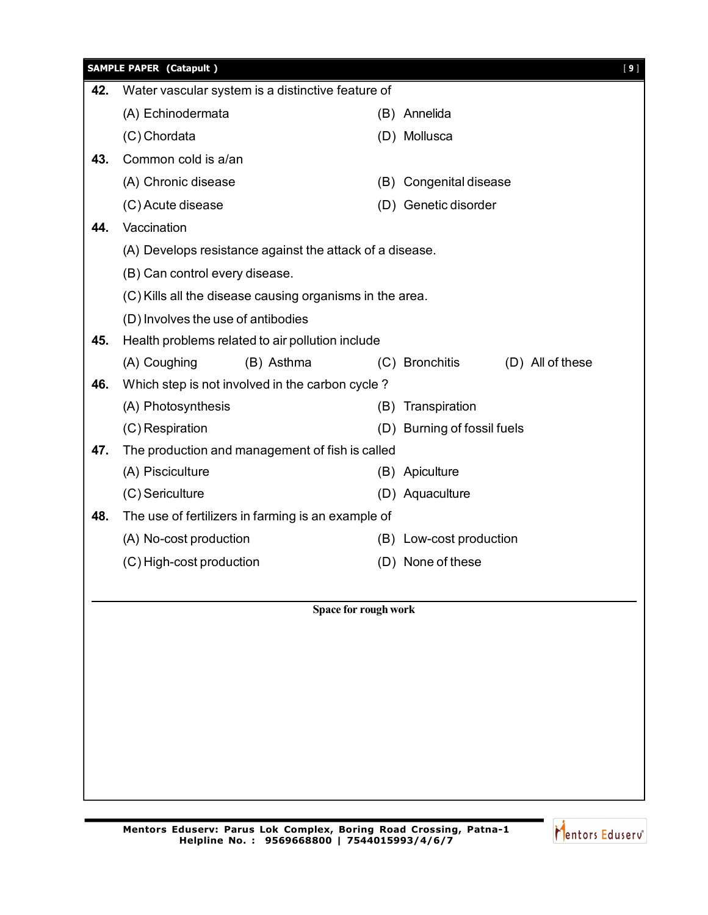|     | <b>SAMPLE PAPER (Catapult)</b>                     |                                                          |                      |                         |                  | $[9]$ |
|-----|----------------------------------------------------|----------------------------------------------------------|----------------------|-------------------------|------------------|-------|
| 42. |                                                    | Water vascular system is a distinctive feature of        |                      |                         |                  |       |
|     | (A) Echinodermata                                  |                                                          |                      | (B) Annelida            |                  |       |
|     | (C) Chordata                                       |                                                          |                      | (D) Mollusca            |                  |       |
| 43. | Common cold is a/an                                |                                                          |                      |                         |                  |       |
|     | (A) Chronic disease                                |                                                          |                      | (B) Congenital disease  |                  |       |
|     | (C) Acute disease                                  |                                                          |                      | (D) Genetic disorder    |                  |       |
| 44. | Vaccination                                        |                                                          |                      |                         |                  |       |
|     |                                                    | (A) Develops resistance against the attack of a disease. |                      |                         |                  |       |
|     | (B) Can control every disease.                     |                                                          |                      |                         |                  |       |
|     |                                                    | (C) Kills all the disease causing organisms in the area. |                      |                         |                  |       |
|     |                                                    | (D) Involves the use of antibodies                       |                      |                         |                  |       |
| 45. |                                                    | Health problems related to air pollution include         |                      |                         |                  |       |
|     | (A) Coughing                                       | (B) Asthma                                               |                      | (C) Bronchitis          | (D) All of these |       |
| 46. |                                                    | Which step is not involved in the carbon cycle?          |                      |                         |                  |       |
|     | (A) Photosynthesis                                 |                                                          |                      | (B) Transpiration       |                  |       |
|     | (C) Respiration                                    |                                                          | (D)                  | Burning of fossil fuels |                  |       |
| 47. |                                                    | The production and management of fish is called          |                      |                         |                  |       |
|     | (A) Pisciculture                                   |                                                          |                      | (B) Apiculture          |                  |       |
|     | (C) Sericulture                                    |                                                          |                      | (D) Aquaculture         |                  |       |
| 48. | The use of fertilizers in farming is an example of |                                                          |                      |                         |                  |       |
|     | (A) No-cost production                             |                                                          |                      | (B) Low-cost production |                  |       |
|     | (C) High-cost production                           |                                                          |                      | (D) None of these       |                  |       |
|     |                                                    |                                                          |                      |                         |                  |       |
|     |                                                    |                                                          | Space for rough work |                         |                  |       |
|     |                                                    |                                                          |                      |                         |                  |       |
|     |                                                    |                                                          |                      |                         |                  |       |
|     |                                                    |                                                          |                      |                         |                  |       |
|     |                                                    |                                                          |                      |                         |                  |       |
|     |                                                    |                                                          |                      |                         |                  |       |
|     |                                                    |                                                          |                      |                         |                  |       |
|     |                                                    |                                                          |                      |                         |                  |       |
|     |                                                    |                                                          |                      |                         |                  |       |

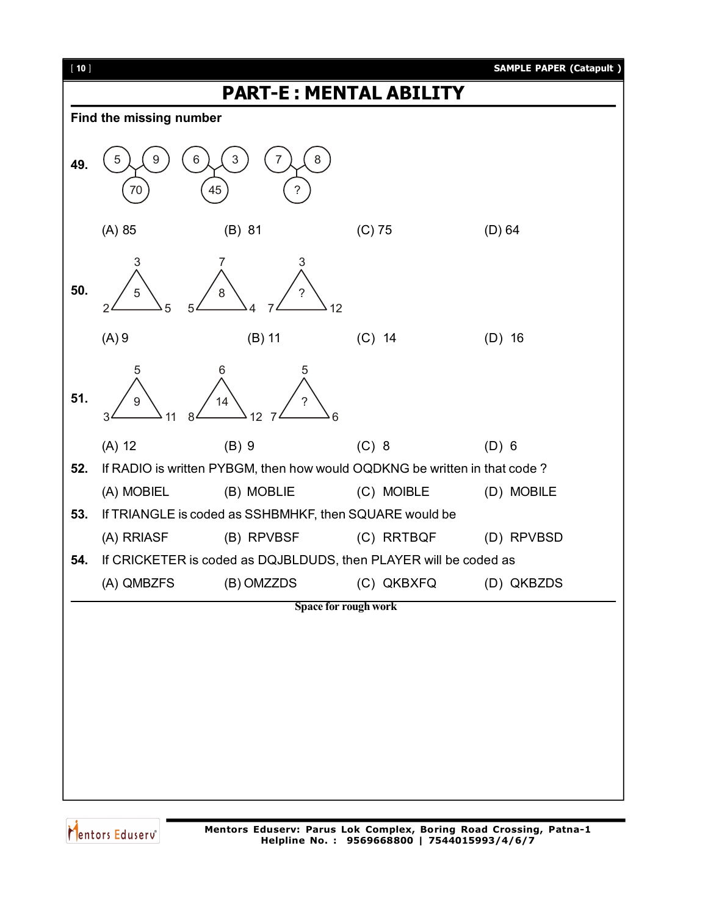

Mentors Eduserv<sup>®</sup>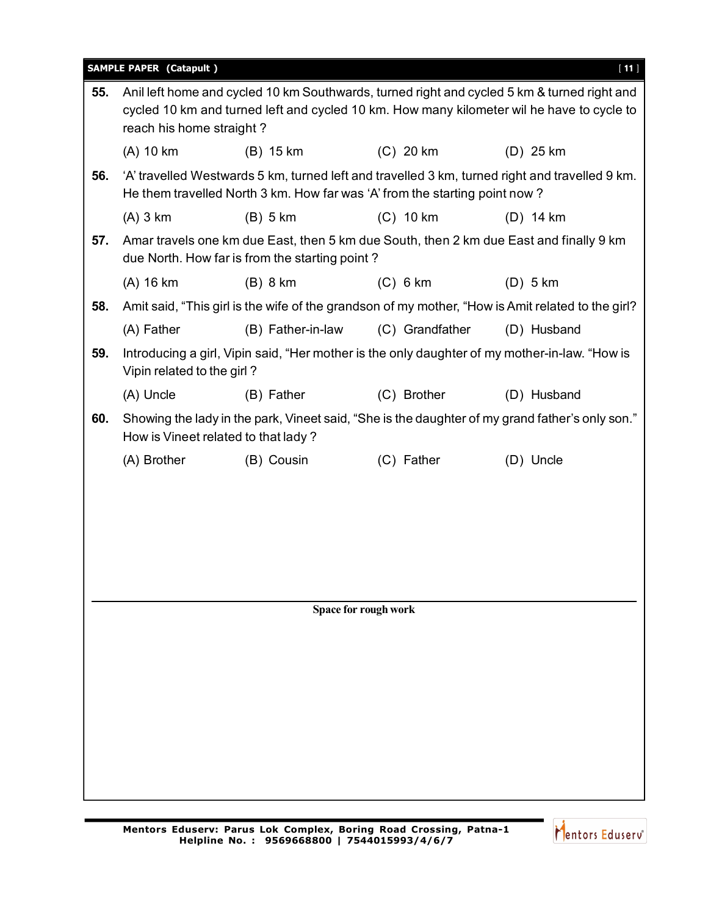|     | <b>SAMPLE PAPER (Catapult)</b>                                                                                                                                                                                       |                                                                                                                                          |                      | $[11]$                                                                                            |  |  |
|-----|----------------------------------------------------------------------------------------------------------------------------------------------------------------------------------------------------------------------|------------------------------------------------------------------------------------------------------------------------------------------|----------------------|---------------------------------------------------------------------------------------------------|--|--|
| 55. | Anil left home and cycled 10 km Southwards, turned right and cycled 5 km & turned right and<br>cycled 10 km and turned left and cycled 10 km. How many kilometer wil he have to cycle to<br>reach his home straight? |                                                                                                                                          |                      |                                                                                                   |  |  |
|     | (A) 10 km                                                                                                                                                                                                            | $(B)$ 15 km                                                                                                                              | $(C)$ 20 km          | $(D)$ 25 km                                                                                       |  |  |
| 56. |                                                                                                                                                                                                                      | He them travelled North 3 km. How far was 'A' from the starting point now?                                                               |                      | 'A' travelled Westwards 5 km, turned left and travelled 3 km, turned right and travelled 9 km.    |  |  |
|     | $(A)$ 3 km                                                                                                                                                                                                           | $(B)$ 5 km                                                                                                                               | $(C)$ 10 km          | $(D)$ 14 km                                                                                       |  |  |
| 57. |                                                                                                                                                                                                                      | Amar travels one km due East, then 5 km due South, then 2 km due East and finally 9 km<br>due North. How far is from the starting point? |                      |                                                                                                   |  |  |
|     | (A) 16 km                                                                                                                                                                                                            | $(B)$ 8 km                                                                                                                               | $(C)$ 6 km           | $(D)$ 5 km                                                                                        |  |  |
| 58. |                                                                                                                                                                                                                      |                                                                                                                                          |                      | Amit said, "This girl is the wife of the grandson of my mother, "How is Amit related to the girl? |  |  |
|     | (A) Father                                                                                                                                                                                                           | (B) Father-in-law                                                                                                                        | (C) Grandfather      | (D) Husband                                                                                       |  |  |
| 59. | Vipin related to the girl?                                                                                                                                                                                           | Introducing a girl, Vipin said, "Her mother is the only daughter of my mother-in-law. "How is                                            |                      |                                                                                                   |  |  |
|     | (A) Uncle                                                                                                                                                                                                            | (B) Father                                                                                                                               | (C) Brother          | (D) Husband                                                                                       |  |  |
| 60. |                                                                                                                                                                                                                      | How is Vineet related to that lady?                                                                                                      |                      | Showing the lady in the park, Vineet said, "She is the daughter of my grand father's only son."   |  |  |
|     | (A) Brother                                                                                                                                                                                                          | (B) Cousin                                                                                                                               | (C) Father           | (D) Uncle                                                                                         |  |  |
|     |                                                                                                                                                                                                                      |                                                                                                                                          |                      |                                                                                                   |  |  |
|     |                                                                                                                                                                                                                      |                                                                                                                                          |                      |                                                                                                   |  |  |
|     |                                                                                                                                                                                                                      |                                                                                                                                          |                      |                                                                                                   |  |  |
|     |                                                                                                                                                                                                                      |                                                                                                                                          |                      |                                                                                                   |  |  |
|     |                                                                                                                                                                                                                      |                                                                                                                                          |                      |                                                                                                   |  |  |
|     |                                                                                                                                                                                                                      |                                                                                                                                          | Space for rough work |                                                                                                   |  |  |
|     |                                                                                                                                                                                                                      |                                                                                                                                          |                      |                                                                                                   |  |  |
|     |                                                                                                                                                                                                                      |                                                                                                                                          |                      |                                                                                                   |  |  |
|     |                                                                                                                                                                                                                      |                                                                                                                                          |                      |                                                                                                   |  |  |
|     |                                                                                                                                                                                                                      |                                                                                                                                          |                      |                                                                                                   |  |  |
|     |                                                                                                                                                                                                                      |                                                                                                                                          |                      |                                                                                                   |  |  |
|     |                                                                                                                                                                                                                      |                                                                                                                                          |                      |                                                                                                   |  |  |
|     |                                                                                                                                                                                                                      |                                                                                                                                          |                      |                                                                                                   |  |  |
|     |                                                                                                                                                                                                                      |                                                                                                                                          |                      |                                                                                                   |  |  |